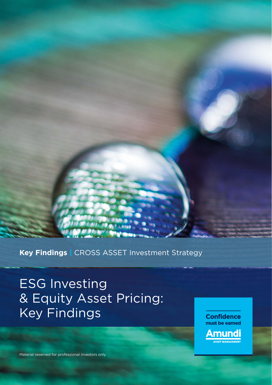### **Key Findings |** CROSS ASSET Investment Strategy

# ESG Investing & Equity Asset Pricing: Key Findings



Material reserved for professional investors only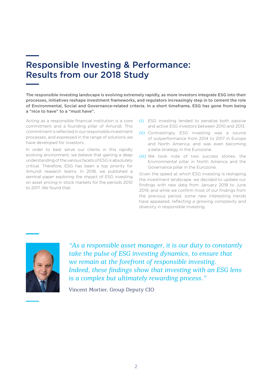### Responsible Investing & Performance: Results from our 2018 Study

The responsible investing landscape is evolving extremely rapidly, as more investors integrate ESG into their processes, initiatives reshape investment frameworks, and regulators increasingly step in to cement the role of Environmental, Social and Governance-related criteria. In a short timeframe, ESG has gone from being a "nice to have" to a "must have".

Acting as a responsible financial institution is a core commitment and a founding pillar of Amundi. This commitment is reflected in our responsible investment processes, and expressed in the range of solutions we have developed for investors.

In order to best serve our clients in this rapidly evolving environment, we believe that gaining a deep understanding of the various facets of ESG is absolutely critical. Therefore, ESG has been a top priority for Amundi research teams. In 2018, we published a seminal paper exploring the impact of ESG investing on asset pricing in stock markets for the periods 2010 to 2017. We found that:

- (i) ESG investing tended to penalize both passive and active ESG investors between 2010 and 2013.
- (ii) Contrastingly, ESG investing was a source of outperformance from 2014 to 2017 in Europe and North America, and was even becoming a beta strategy in the Eurozone.
- (iii) We took note of two success stories: the Environmental pillar in North America and the Governance pillar in the Eurozone.

Given the speed at which ESG investing is reshaping the investment landscape, we decided to update our findings with new data from January 2018 to June 2019, and while we confirm most of our findings from the previous period, some new interesting trends have appeared, reflecting a growing complexity and diversity in responsible investing.



*"As a responsible asset manager, it is our duty to constantly take the pulse of ESG investing dynamics, to ensure that we remain at the forefront of responsible investing. Indeed, these findings show that investing with an ESG lens is a complex but ultimately rewarding process."*

Vincent Mortier, Group Deputy CIO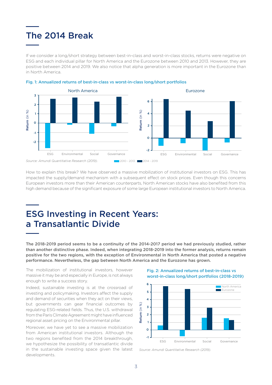# The 2014 Break

If we consider a long/short strategy between best-in-class and worst-in-class stocks, returns were negative on ESG and each individual pillar for North America and the Eurozone between 2010 and 2013. However, they are positive between 2014 and 2019. We also notice that alpha generation is more important in the Eurozone than in North America.





How to explain this break? We have observed a massive mobilization of institutional investors on ESG. This has impacted the supply/demand mechanism with a subsequent effect on stock prices. Even though this concerns European investors more than their American counterparts, North American stocks have also benefited from this high demand because of the significant exposure of some large European institutional investors to North America.

### ESG Investing in Recent Years: a Transatlantic Divide

The 2018-2019 period seems to be a continuity of the 2014-2017 period we had previously studied, rather than another distinctive phase. Indeed, when integrating 2018-2019 into the former analysis, returns remain positive for the two regions, with the exception of Environmental in North America that posted a negative performance. Nevertheless, the gap between North America and the Eurozone has grown.

The mobilization of institutional investors, however massive it may be and especially in Europe, is not always enough to write a success story.

Indeed, sustainable investing is at the crossroad of investing and policymaking. Investors affect the supply and demand of securities when they act on their views, but governments can gear financial outcomes by regulating ESG-related fields. Thus, the U.S. withdrawal from the Paris Climate Agreement might have influenced regional asset pricing on the Environmental pillar.

Moreover, we have yet to see a massive mobilization from American institutional investors. Although the two regions benefited from the 2014 breakthrough, we hypothesize the possibility of transatlantic divide in the sustainable investing space given the latest developments.

Fig. 2: Annualized returns of best-in-class vs worst-in-class long/short portfolios (2018-2019)



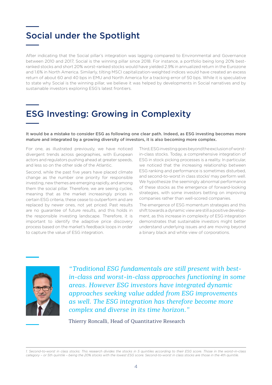## Social under the Spotlight

After indicating that the Social pillar's integration was lagging compared to Environmental and Governance between 2010 and 2017, Social is the winning pillar since 2018. For instance, a portfolio being long 20% bestranked stocks and short 20% worst-ranked stocks would have yielded 2.9% in annualized return in the Eurozone and 1.6% in North America. Similarly, tilting MSCI capitalization-weighted indices would have created an excess return of about 60 and 40 bps in EMU and North America for a tracking error of 50 bps. While it is speculative to state why Social is the winning pillar, we believe it was helped by developments in Social narratives and by sustainable investors exploring ESG's latest frontiers.

# ESG Investing: Growing in Complexity

It would be a mistake to consider ESG as following one clear path. Indeed, as ESG investing becomes more mature and integrated by a growing diversity of investors, it is also becoming more complex.

For one, as illustrated previously, we have noticed divergent trends across geographies, with European actors and regulators pushing ahead at greater speeds, and less so on the other side of the Atlantic.

Second, while the past five years have placed climate change as the number one priority for responsible investing, new themes are emerging rapidly, and among them the social pillar. Therefore, we are seeing cycles, meaning that as the market increasingly prices in certain ESG criteria, these cease to outperform and are replaced by newer ones, not yet priced. Past results are no guarantee of future results, and this holds in the responsible investing landscape. Therefore, it is important to identify the adaptive price discovery process based on the market's feedback loops in order to capture the value of ESG integration.

Third, ESG investing goes beyond the exclusion of worstin-class stocks. Today, a comprehensive integration of ESG in stock picking processes is a reality. In particular, we noticed that the increasing relationship between ESG ranking and performance is sometimes disturbed, and second-to-worst in class stocks<sup>1</sup> may perform well. We hypothesize the seemingly abnormal performance of these stocks as the emergence of forward-looking strategies, with some investors betting on improving companies rather than well-scored companies.

The emergence of ESG momentum strategies and this shift towards a dynamic view are still a positive development, as this increase in complexity of ESG integration demonstrates that sustainable investors might better understand underlying issues and are moving beyond a binary black and white view of corporations.



*"Traditional ESG fundamentals are still present with bestin-class and worst-in-class approaches functioning in some areas. However ESG investors have integrated dynamic approaches seeking value added from ESG improvements as well. The ESG integration has therefore become more complex and diverse in its time horizon."*

Thierry Roncalli, Head of Quantitative Research

*1. Second-to-worst in class stocks: This research divides the stocks in 5 quintiles according to their ESG score. Those in the worst-in-class category – or 5th quintile – being the 20% stocks with the lowest ESG score. Second-to-worst in class stocks are those in the 4th quintile.*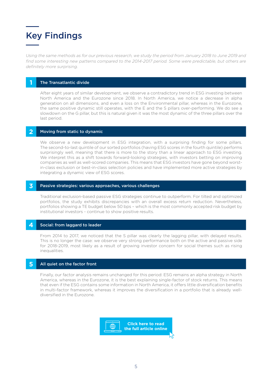

*Using the same methods as for our previous research, we study the period from January 2018 to June 2019 and find some interesting new patterns compared to the 2014-2017 period. Some were predictable, but others are definitely more surprising.*

### **1** The Transatlantic divide

After eight years of similar development, we observe a contradictory trend in ESG investing between North America and the Eurozone since 2018. In North America, we notice a decrease in alpha generation on all dimensions, and even a loss on the Environmental pillar, whereas in the Eurozone, the same positive dynamic still operates, with the E and the S pillars over-performing. We do see a slowdown on the G pillar, but this is natural given it was the most dynamic of the three pillars over the last period.

#### **2** Moving from static to dynamic

We observe a new development in ESG integration, with a surprising finding for some pillars. The second-to-last quintile of our sorted portfolios (having ESG scores in the fourth quintile) performs surprisingly well, meaning that there is more to the story than a linear approach to ESG investing. We interpret this as a shift towards forward-looking strategies, with investors betting on improving companies as well as well-scored companies. This means that ESG investors have gone beyond worstin-class exclusion or best-in-class selection policies and have implemented more active strategies by integrating a dynamic view of ESG scores.

#### **3** Passive strategies: various approaches, various challenges

Traditional exclusion-based passive ESG strategies continue to outperform. For tilted and optimized portfolios, the study exhibits discrepancies with an overall excess return reduction. Nevertheless, portfolios showing a TE budget below 50 bps – which is the most commonly accepted risk budget by institutional investors - continue to show positive results.

#### **4** Social: from laggard to leader

From 2014 to 2017, we noticed that the S pillar was clearly the lagging pillar, with delayed results. This is no longer the case: we observe very strong performance both on the active and passive side for 2018-2019, most likely as a result of growing investor concern for social themes such as rising inequalities.

### **5** All quiet on the factor front

Finally, our factor analysis remains unchanged for this period: ESG remains an alpha strategy in North America, whereas in the Eurozone, it is the best explaining single-factor of stock returns. This means that even if the ESG contains some information in North America, it offers little diversification benefits in multi-factor framework, whereas it improves the diversification in a portfolio that is already welldiversified in the Eurozone.